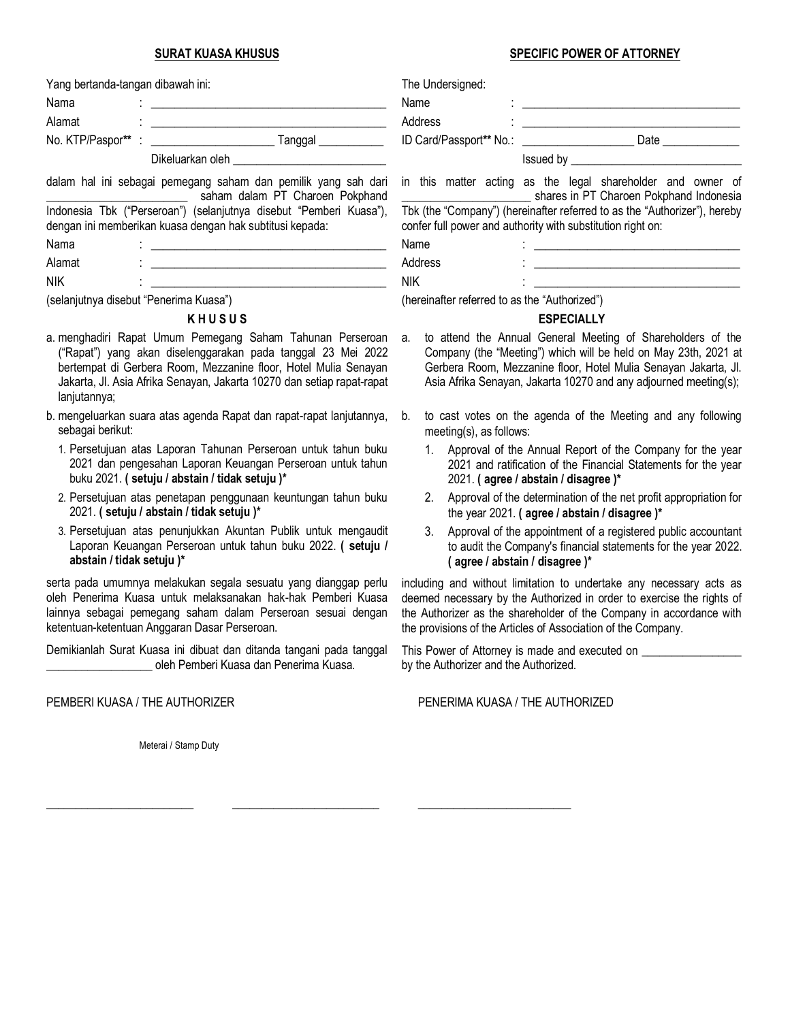#### **SURAT KUASA KHUSUS**

| Yang bertanda-tangan dibawah ini:                                                                                              |  |  |  |  |  |
|--------------------------------------------------------------------------------------------------------------------------------|--|--|--|--|--|
| Nama                                                                                                                           |  |  |  |  |  |
| Alamat                                                                                                                         |  |  |  |  |  |
|                                                                                                                                |  |  |  |  |  |
| Dikeluarkan oleh                                                                                                               |  |  |  |  |  |
| dalam hal ini sebagai pemegang saham dan pemilik yang sah dari<br>saham dalam PT Charoen Pokphand                              |  |  |  |  |  |
| Indonesia Tbk ("Perseroan") (selanjutnya disebut "Pemberi Kuasa"),<br>dengan ini memberikan kuasa dengan hak subtitusi kepada: |  |  |  |  |  |

Nama : <u>\_ \_ \_ \_ \_ \_ \_ \_ \_ \_</u> Alamat : \_\_\_\_\_\_\_\_\_\_\_\_\_\_\_\_\_\_\_\_\_\_\_\_\_\_\_\_\_\_\_\_\_\_\_\_\_\_\_\_

NIK : \_\_\_\_\_\_\_\_\_\_\_\_\_\_\_\_\_\_\_\_\_\_\_\_\_\_\_\_\_\_\_\_\_\_\_\_\_\_\_\_

(selanjutnya disebut "Penerima Kuasa")

## **K H U S U S**

- a. menghadiri Rapat Umum Pemegang Saham Tahunan Perseroan ("Rapat") yang akan diselenggarakan pada tanggal 23 Mei 2022 bertempat di Gerbera Room, Mezzanine floor, Hotel Mulia Senayan Jakarta, Jl. Asia Afrika Senayan, Jakarta 10270 dan setiap rapat-rapat lanjutannya;
- b. mengeluarkan suara atas agenda Rapat dan rapat-rapat lanjutannya, sebagai berikut:
	- 1. Persetujuan atas Laporan Tahunan Perseroan untuk tahun buku 2021 dan pengesahan Laporan Keuangan Perseroan untuk tahun buku 2021. **( setuju / abstain / tidak setuju )\***
	- 2. Persetujuan atas penetapan penggunaan keuntungan tahun buku 2021. **( setuju / abstain / tidak setuju )\***
	- 3. Persetujuan atas penunjukkan Akuntan Publik untuk mengaudit Laporan Keuangan Perseroan untuk tahun buku 2022. **( setuju / abstain / tidak setuju )\***

serta pada umumnya melakukan segala sesuatu yang dianggap perlu oleh Penerima Kuasa untuk melaksanakan hak-hak Pemberi Kuasa lainnya sebagai pemegang saham dalam Perseroan sesuai dengan ketentuan-ketentuan Anggaran Dasar Perseroan.

Demikianlah Surat Kuasa ini dibuat dan ditanda tangani pada tanggal \_\_\_\_\_\_\_\_\_\_\_\_\_\_\_\_\_\_ oleh Pemberi Kuasa dan Penerima Kuasa.

\_\_\_\_\_\_\_\_\_\_\_\_\_\_\_\_\_\_\_\_\_\_\_\_\_ \_\_\_\_\_\_\_\_\_\_\_\_\_\_\_\_\_\_\_\_\_\_\_\_\_ \_\_\_\_\_\_\_\_\_\_\_\_\_\_\_\_\_\_\_\_\_\_\_\_\_\_

#### **SPECIFIC POWER OF ATTORNEY**

| The Undersigned:                                                                                                                         |                                                                                                        |  |  |  |  |
|------------------------------------------------------------------------------------------------------------------------------------------|--------------------------------------------------------------------------------------------------------|--|--|--|--|
| Name                                                                                                                                     |                                                                                                        |  |  |  |  |
| Address                                                                                                                                  | <u> 1986 - Johann Stoff, fransk konge</u>                                                              |  |  |  |  |
|                                                                                                                                          |                                                                                                        |  |  |  |  |
|                                                                                                                                          |                                                                                                        |  |  |  |  |
|                                                                                                                                          | in this matter acting as the legal shareholder and owner of<br>shares in PT Charoen Pokphand Indonesia |  |  |  |  |
| Tbk (the "Company") (hereinafter referred to as the "Authorizer"), hereby<br>confer full power and authority with substitution right on: |                                                                                                        |  |  |  |  |
| Name                                                                                                                                     |                                                                                                        |  |  |  |  |
| Address                                                                                                                                  |                                                                                                        |  |  |  |  |
| <b>NIK</b>                                                                                                                               |                                                                                                        |  |  |  |  |

(hereinafter referred to as the "Authorized")

## **ESPECIALLY**

- a. to attend the Annual General Meeting of Shareholders of the Company (the "Meeting") which will be held on May 23th, 2021 at Gerbera Room, Mezzanine floor, Hotel Mulia Senayan Jakarta, Jl. Asia Afrika Senayan, Jakarta 10270 and any adjourned meeting(s);
- b. to cast votes on the agenda of the Meeting and any following meeting(s), as follows:
	- 1. Approval of the Annual Report of the Company for the year 2021 and ratification of the Financial Statements for the year 2021. **( agree / abstain / disagree )\***
	- 2. Approval of the determination of the net profit appropriation for the year 2021. **( agree / abstain / disagree )\***
	- 3. Approval of the appointment of a registered public accountant to audit the Company's financial statements for the year 2022. **( agree / abstain / disagree )\***

including and without limitation to undertake any necessary acts as deemed necessary by the Authorized in order to exercise the rights of the Authorizer as the shareholder of the Company in accordance with the provisions of the Articles of Association of the Company.

This Power of Attorney is made and executed on \_\_\_\_\_\_\_\_\_\_\_\_\_\_\_ by the Authorizer and the Authorized.

PEMBERI KUASA / THE AUTHORIZER PENERIMA KUASA / THE AUTHORIZED

Meterai / Stamp Duty